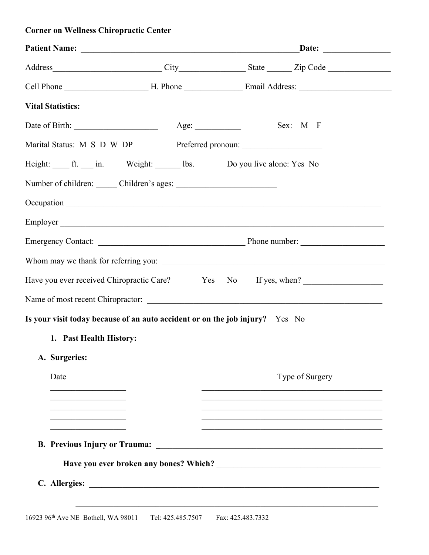| <b>Vital Statistics:</b>                                                         |                                                                |
|----------------------------------------------------------------------------------|----------------------------------------------------------------|
|                                                                                  | Sex: M F                                                       |
| Marital Status: M S D W DP Preferred pronoun: __________________________________ |                                                                |
| Height: ft. in. Weight: lbs. Do you live alone: Yes No                           |                                                                |
|                                                                                  |                                                                |
|                                                                                  |                                                                |
|                                                                                  |                                                                |
|                                                                                  |                                                                |
|                                                                                  |                                                                |
|                                                                                  | Have you ever received Chiropractic Care? Yes No If yes, when? |
|                                                                                  |                                                                |
| Is your visit today because of an auto accident or on the job injury? Yes No     |                                                                |
| 1. Past Health History:                                                          |                                                                |
| A. Surgeries:                                                                    |                                                                |
| Date                                                                             | Type of Surgery                                                |
|                                                                                  |                                                                |
|                                                                                  |                                                                |
|                                                                                  |                                                                |
|                                                                                  |                                                                |
|                                                                                  |                                                                |
|                                                                                  |                                                                |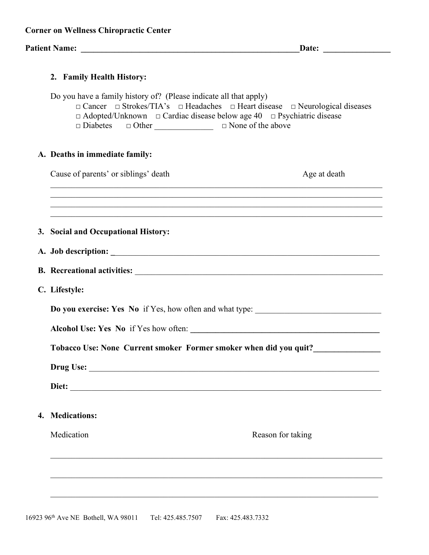|  |  | <b>Corner on Wellness Chiropractic Center</b> |  |
|--|--|-----------------------------------------------|--|
|--|--|-----------------------------------------------|--|

# **Patient Name: \_\_\_\_\_\_\_\_\_\_\_\_\_\_\_\_\_\_\_\_\_\_\_\_\_\_\_\_\_\_\_\_\_\_\_\_\_\_\_\_\_\_\_\_\_\_\_\_\_\_\_\_Date: \_\_\_\_\_\_\_\_\_\_\_\_\_\_\_\_**

| 2. Family Health History:                                                                                                                                                                                                                                                                                                           |
|-------------------------------------------------------------------------------------------------------------------------------------------------------------------------------------------------------------------------------------------------------------------------------------------------------------------------------------|
| Do you have a family history of? (Please indicate all that apply)<br>$\Box$ Cancer $\Box$ Strokes/TIA's $\Box$ Headaches $\Box$ Heart disease $\Box$ Neurological diseases<br>$\Box$ Adopted/Unknown $\Box$ Cardiac disease below age 40 $\Box$ Psychiatric disease<br>$\Box$ Diabetes $\Box$ Other $\Box$ $\Box$ None of the above |
| A. Deaths in immediate family:                                                                                                                                                                                                                                                                                                      |
| Cause of parents' or siblings' death<br>Age at death                                                                                                                                                                                                                                                                                |
| ,我们也不能在这里的时候,我们也不能在这里的时候,我们也不能会在这里的时候,我们也不能会在这里的时候,我们也不能会在这里的时候,我们也不能会在这里的时候,我们也<br>,我们也不能在这里的时候,我们也不能在这里的时候,我们也不能会在这里的时候,我们也不能会在这里的时候,我们也不能会在这里的时候,我们也不能会在这里的时候,我们也不                                                                                                                                                               |
| ,我们也不能在这里的时候,我们也不能在这里的时候,我们也不能会在这里,我们也不能会不能会不能会不能会不能会不能会。""我们,我们也不能会不能会不能会不能会不能会<br>3. Social and Occupational History:                                                                                                                                                                                                             |
|                                                                                                                                                                                                                                                                                                                                     |
|                                                                                                                                                                                                                                                                                                                                     |
| C. Lifestyle:                                                                                                                                                                                                                                                                                                                       |
| Do you exercise: Yes No if Yes, how often and what type:                                                                                                                                                                                                                                                                            |
| Alcohol Use: Yes No if Yes how often:                                                                                                                                                                                                                                                                                               |
| Tobacco Use: None Current smoker Former smoker when did you quit?                                                                                                                                                                                                                                                                   |
| Drug Use:                                                                                                                                                                                                                                                                                                                           |
| Diet:<br><u> 1989 - Jan Barbara, margaret eta idazlea (h. 1989).</u>                                                                                                                                                                                                                                                                |
| 4. Medications:                                                                                                                                                                                                                                                                                                                     |
| Medication<br>Reason for taking                                                                                                                                                                                                                                                                                                     |
|                                                                                                                                                                                                                                                                                                                                     |
|                                                                                                                                                                                                                                                                                                                                     |
|                                                                                                                                                                                                                                                                                                                                     |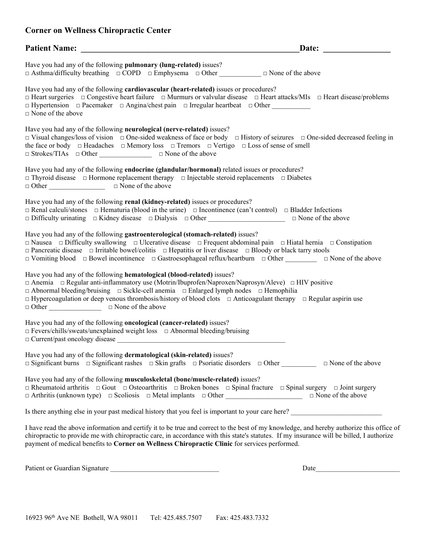| <b>Patient Name:</b>                                                                                                                                                                                                                                                                                                                                                                                                                                                                                       | Date: |
|------------------------------------------------------------------------------------------------------------------------------------------------------------------------------------------------------------------------------------------------------------------------------------------------------------------------------------------------------------------------------------------------------------------------------------------------------------------------------------------------------------|-------|
| Have you had any of the following pulmonary (lung-related) issues?<br>$\Box$ Asthma/difficulty breathing $\Box$ COPD $\Box$ Emphysema $\Box$ Other $\Box$ None of the above                                                                                                                                                                                                                                                                                                                                |       |
| Have you had any of the following cardiovascular (heart-related) issues or procedures?<br>$\Box$ Heart surgeries $\Box$ Congestive heart failure $\Box$ Murmurs or valvular disease $\Box$ Heart attacks/MIs $\Box$ Heart disease/problems<br>$\Box$ Hypertension $\Box$ Pacemaker $\Box$ Angina/chest pain $\Box$ Irregular heartbeat $\Box$ Other<br>$\Box$ None of the above                                                                                                                            |       |
| Have you had any of the following neurological (nerve-related) issues?<br>$\Box$ Visual changes/loss of vision $\Box$ One-sided weakness of face or body $\Box$ History of seizures $\Box$ One-sided decreased feeling in<br>the face or body $\Box$ Headaches $\Box$ Memory loss $\Box$ Tremors $\Box$ Vertigo $\Box$ Loss of sense of smell<br>$\Box$ Strokes/TIAs $\Box$ Other $\Box$ $\Box$ None of the above                                                                                          |       |
| Have you had any of the following <b>endocrine</b> (glandular/hormonal) related issues or procedures?<br>$\Box$ Thyroid disease $\Box$ Hormone replacement therapy $\Box$ Injectable steroid replacements $\Box$ Diabetes                                                                                                                                                                                                                                                                                  |       |
| Have you had any of the following renal (kidney-related) issues or procedures?<br>$\Box$ Renal calculi/stones $\Box$ Hematuria (blood in the urine) $\Box$ Incontinence (can't control) $\Box$ Bladder Infections<br>$\Box$ Difficulty urinating $\Box$ Kidney disease $\Box$ Dialysis $\Box$ Other $\Box$ $\Box$ None of the above                                                                                                                                                                        |       |
| Have you had any of the following gastroenterological (stomach-related) issues?<br>$\Box$ Nausea $\Box$ Difficulty swallowing $\Box$ Ulcerative disease $\Box$ Frequent abdominal pain $\Box$ Hiatal hernia $\Box$ Constipation<br>$\Box$ Pancreatic disease $\Box$ Irritable bowel/colitis $\Box$ Hepatitis or liver disease $\Box$ Bloody or black tarry stools<br>$\Box$ Vomiting blood $\Box$ Bowel incontinence $\Box$ Gastroesophageal reflux/heartburn $\Box$ Other $\Box$ $\Box$ None of the above |       |
| Have you had any of the following hematological (blood-related) issues?<br>$\Box$ Anemia $\Box$ Regular anti-inflammatory use (Motrin/Ibuprofen/Naproxen/Naprosyn/Aleve) $\Box$ HIV positive<br>$\Box$ Abnormal bleeding/bruising $\Box$ Sickle-cell anemia $\Box$ Enlarged lymph nodes $\Box$ Hemophilia<br>□ Hypercoagulation or deep venous thrombosis/history of blood clots □ Anticoagulant therapy □ Regular aspirin use<br>□ Other <u>Union</u> D None of the above                                 |       |
| Have you had any of the following <b>oncological</b> (cancer-related) issues?<br>□ Fevers/chills/sweats/unexplained weight loss □ Abnormal bleeding/bruising                                                                                                                                                                                                                                                                                                                                               |       |
| Have you had any of the following dermatological (skin-related) issues?<br>$\Box$ Significant burns $\Box$ Significant rashes $\Box$ Skin grafts $\Box$ Psoriatic disorders $\Box$ Other $\Box$ None of the above                                                                                                                                                                                                                                                                                          |       |
| Have you had any of the following musculoskeletal (bone/muscle-related) issues?<br>$\Box$ Rheumatoid arthritis $\Box$ Gout $\Box$ Osteoarthritis $\Box$ Broken bones $\Box$ Spinal fracture $\Box$ Spinal surgery $\Box$ Joint surgery<br>□ Arthritis (unknown type) □ Scoliosis □ Metal implants □ Other ____________________________ □ None of the above                                                                                                                                                 |       |
| Is there anything else in your past medical history that you feel is important to your care here?                                                                                                                                                                                                                                                                                                                                                                                                          |       |
| I have read the above information and certify it to be true and correct to the best of my knowledge, and hereby authorize this office of<br>chiropractic to provide me with chiropractic care, in accordance with this state's statutes. If my insurance will be billed, I authorize<br>payment of medical benefits to Corner on Wellness Chiropractic Clinic for services performed.                                                                                                                      |       |

Patient or Guardian Signature \_\_\_\_\_\_\_\_\_\_\_\_\_\_\_\_\_\_\_\_\_\_\_\_\_\_\_\_\_\_\_ Date\_\_\_\_\_\_\_\_\_\_\_\_\_\_\_\_\_\_\_\_\_\_\_\_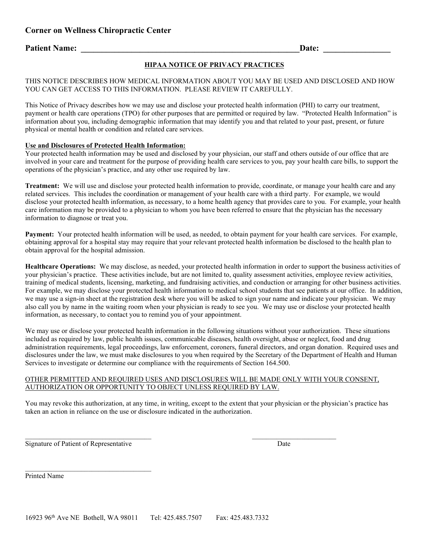### **Patient Name:**  $\qquad \qquad$

#### **HIPAA NOTICE OF PRIVACY PRACTICES**

#### THIS NOTICE DESCRIBES HOW MEDICAL INFORMATION ABOUT YOU MAY BE USED AND DISCLOSED AND HOW YOU CAN GET ACCESS TO THIS INFORMATION. PLEASE REVIEW IT CAREFULLY.

This Notice of Privacy describes how we may use and disclose your protected health information (PHI) to carry our treatment, payment or health care operations (TPO) for other purposes that are permitted or required by law. "Protected Health Information" is information about you, including demographic information that may identify you and that related to your past, present, or future physical or mental health or condition and related care services.

#### **Use and Disclosures of Protected Health Information:**

Your protected health information may be used and disclosed by your physician, our staff and others outside of our office that are involved in your care and treatment for the purpose of providing health care services to you, pay your health care bills, to support the operations of the physician's practice, and any other use required by law.

**Treatment:** We will use and disclose your protected health information to provide, coordinate, or manage your health care and any related services. This includes the coordination or management of your health care with a third party. For example, we would disclose your protected health information, as necessary, to a home health agency that provides care to you. For example, your health care information may be provided to a physician to whom you have been referred to ensure that the physician has the necessary information to diagnose or treat you.

**Payment:** Your protected health information will be used, as needed, to obtain payment for your health care services. For example, obtaining approval for a hospital stay may require that your relevant protected health information be disclosed to the health plan to obtain approval for the hospital admission.

**Healthcare Operations:** We may disclose, as needed, your protected health information in order to support the business activities of your physician's practice. These activities include, but are not limited to, quality assessment activities, employee review activities, training of medical students, licensing, marketing, and fundraising activities, and conduction or arranging for other business activities. For example, we may disclose your protected health information to medical school students that see patients at our office. In addition, we may use a sign-in sheet at the registration desk where you will be asked to sign your name and indicate your physician. We may also call you by name in the waiting room when your physician is ready to see you. We may use or disclose your protected health information, as necessary, to contact you to remind you of your appointment.

We may use or disclose your protected health information in the following situations without your authorization. These situations included as required by law, public health issues, communicable diseases, health oversight, abuse or neglect, food and drug administration requirements, legal proceedings, law enforcement, coroners, funeral directors, and organ donation. Required uses and disclosures under the law, we must make disclosures to you when required by the Secretary of the Department of Health and Human Services to investigate or determine our compliance with the requirements of Section 164.500.

#### OTHER PERMITTED AND REQUIRED USES AND DISCLOSURES WILL BE MADE ONLY WITH YOUR CONSENT, AUTHORIZATION OR OPPORTUNITY TO OBJECT UNLESS REQUIRED BY LAW.

 $\overline{\phantom{a}}$  , and the contribution of the contribution of  $\overline{\phantom{a}}$  , and the contribution of  $\overline{\phantom{a}}$ 

You may revoke this authorization, at any time, in writing, except to the extent that your physician or the physician's practice has taken an action in reliance on the use or disclosure indicated in the authorization.

Signature of Patient of Representative Date Date Date

\_\_\_\_\_\_\_\_\_\_\_\_\_\_\_\_\_\_\_\_\_\_\_\_\_\_\_\_\_\_\_\_\_\_\_\_

Printed Name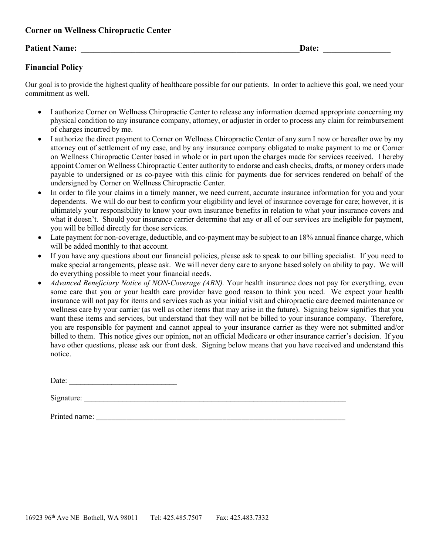### **Patient Name:**  $\qquad \qquad$  **Date:**  $\qquad \qquad$  **Date:**  $\qquad \qquad$  **Date:**  $\qquad \qquad$

### **Financial Policy**

Our goal is to provide the highest quality of healthcare possible for our patients. In order to achieve this goal, we need your commitment as well.

- I authorize Corner on Wellness Chiropractic Center to release any information deemed appropriate concerning my physical condition to any insurance company, attorney, or adjuster in order to process any claim for reimbursement of charges incurred by me.
- I authorize the direct payment to Corner on Wellness Chiropractic Center of any sum I now or hereafter owe by my attorney out of settlement of my case, and by any insurance company obligated to make payment to me or Corner on Wellness Chiropractic Center based in whole or in part upon the charges made for services received. I hereby appoint Corner on Wellness Chiropractic Center authority to endorse and cash checks, drafts, or money orders made payable to undersigned or as co-payee with this clinic for payments due for services rendered on behalf of the undersigned by Corner on Wellness Chiropractic Center.
- In order to file your claims in a timely manner, we need current, accurate insurance information for you and your dependents. We will do our best to confirm your eligibility and level of insurance coverage for care; however, it is ultimately your responsibility to know your own insurance benefits in relation to what your insurance covers and what it doesn't. Should your insurance carrier determine that any or all of our services are ineligible for payment, you will be billed directly for those services.
- Late payment for non-coverage, deductible, and co-payment may be subject to an 18% annual finance charge, which will be added monthly to that account.
- If you have any questions about our financial policies, please ask to speak to our billing specialist. If you need to make special arrangements, please ask. We will never deny care to anyone based solely on ability to pay. We will do everything possible to meet your financial needs.
- *Advanced Beneficiary Notice of NON-Coverage (ABN).* Your health insurance does not pay for everything, even some care that you or your health care provider have good reason to think you need. We expect your health insurance will not pay for items and services such as your initial visit and chiropractic care deemed maintenance or wellness care by your carrier (as well as other items that may arise in the future). Signing below signifies that you want these items and services, but understand that they will not be billed to your insurance company. Therefore, you are responsible for payment and cannot appeal to your insurance carrier as they were not submitted and/or billed to them. This notice gives our opinion, not an official Medicare or other insurance carrier's decision. If you have other questions, please ask our front desk. Signing below means that you have received and understand this notice.

Date: \_\_\_\_\_\_\_\_\_\_\_\_\_\_\_\_\_\_\_\_\_\_\_\_\_\_\_\_

Signature:

Printed name: \_\_\_\_\_\_\_\_\_\_\_\_\_\_\_\_\_\_\_\_\_\_\_\_\_\_\_\_\_\_\_\_\_\_\_\_\_\_\_\_\_\_\_\_\_\_\_\_\_\_\_\_\_\_\_\_\_\_\_\_\_\_\_\_\_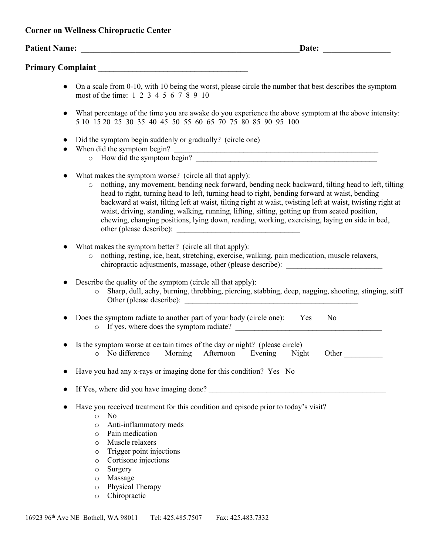|           | Date:<br><u> 1989 - Jan Stern Barns</u>                                                                                                                                                                                                                                                                                                                                                                                                                                                                                                                                                   |
|-----------|-------------------------------------------------------------------------------------------------------------------------------------------------------------------------------------------------------------------------------------------------------------------------------------------------------------------------------------------------------------------------------------------------------------------------------------------------------------------------------------------------------------------------------------------------------------------------------------------|
|           |                                                                                                                                                                                                                                                                                                                                                                                                                                                                                                                                                                                           |
| $\bullet$ | On a scale from 0-10, with 10 being the worst, please circle the number that best describes the symptom<br>most of the time: 1 2 3 4 5 6 7 8 9 10                                                                                                                                                                                                                                                                                                                                                                                                                                         |
|           | What percentage of the time you are awake do you experience the above symptom at the above intensity:<br>5 10 15 20 25 30 35 40 45 50 55 60 65 70 75 80 85 90 95 100                                                                                                                                                                                                                                                                                                                                                                                                                      |
| $\bullet$ | Did the symptom begin suddenly or gradually? (circle one)<br>When did the symptom begin?<br>en did the symptom begin?<br>o How did the symptom begin?                                                                                                                                                                                                                                                                                                                                                                                                                                     |
|           | What makes the symptom worse? (circle all that apply):<br>nothing, any movement, bending neck forward, bending neck backward, tilting head to left, tilting<br>$\circ$<br>head to right, turning head to left, turning head to right, bending forward at waist, bending<br>backward at waist, tilting left at waist, tilting right at waist, twisting left at waist, twisting right at<br>waist, driving, standing, walking, running, lifting, sitting, getting up from seated position,<br>chewing, changing positions, lying down, reading, working, exercising, laying on side in bed, |
|           | What makes the symptom better? (circle all that apply):<br>nothing, resting, ice, heat, stretching, exercise, walking, pain medication, muscle relaxers,<br>$\circ$<br>chiropractic adjustments, massage, other (please describe): _____________________                                                                                                                                                                                                                                                                                                                                  |
|           | Describe the quality of the symptom (circle all that apply):<br>Sharp, dull, achy, burning, throbbing, piercing, stabbing, deep, nagging, shooting, stinging, stiff<br>$\circ$                                                                                                                                                                                                                                                                                                                                                                                                            |
|           | Does the symptom radiate to another part of your body (circle one): Yes<br>No<br>o If yes, where does the symptom radiate?                                                                                                                                                                                                                                                                                                                                                                                                                                                                |
|           | Is the symptom worse at certain times of the day or night? (please circle)<br>o No difference Morning Afternoon Evening Night<br>Other                                                                                                                                                                                                                                                                                                                                                                                                                                                    |
|           | Have you had any x-rays or imaging done for this condition? Yes No                                                                                                                                                                                                                                                                                                                                                                                                                                                                                                                        |
|           |                                                                                                                                                                                                                                                                                                                                                                                                                                                                                                                                                                                           |
|           | Have you received treatment for this condition and episode prior to today's visit?<br>N <sub>0</sub><br>$\circ$<br>Anti-inflammatory meds<br>$\circ$<br>Pain medication<br>$\circ$<br>Muscle relaxers<br>$\circ$<br>Trigger point injections<br>$\circ$<br>Cortisone injections<br>$\circ$<br>Surgery<br>$\circ$<br>Massage<br>$\circ$<br>Physical Therapy<br>$\circ$<br>Chiropractic<br>$\circ$                                                                                                                                                                                          |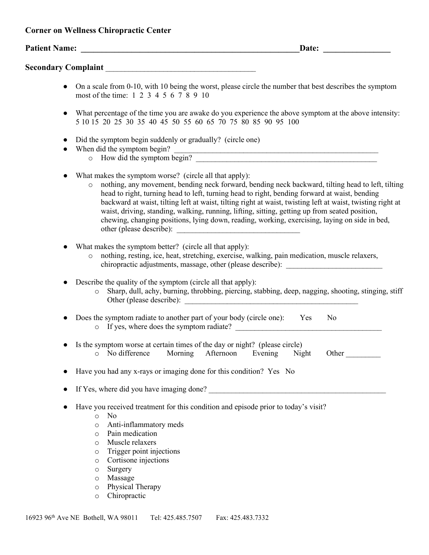|           | Date:                                                                                                                                                                                                                                                                                                                                                                                                                                                                                                                                                                                     |
|-----------|-------------------------------------------------------------------------------------------------------------------------------------------------------------------------------------------------------------------------------------------------------------------------------------------------------------------------------------------------------------------------------------------------------------------------------------------------------------------------------------------------------------------------------------------------------------------------------------------|
|           |                                                                                                                                                                                                                                                                                                                                                                                                                                                                                                                                                                                           |
| $\bullet$ | On a scale from 0-10, with 10 being the worst, please circle the number that best describes the symptom<br>most of the time: 1 2 3 4 5 6 7 8 9 10                                                                                                                                                                                                                                                                                                                                                                                                                                         |
| $\bullet$ | What percentage of the time you are awake do you experience the above symptom at the above intensity:<br>5 10 15 20 25 30 35 40 45 50 55 60 65 70 75 80 85 90 95 100                                                                                                                                                                                                                                                                                                                                                                                                                      |
|           | Did the symptom begin suddenly or gradually? (circle one)<br>When did the symptom begin?<br>en did the symptom begin?<br>o How did the symptom begin?                                                                                                                                                                                                                                                                                                                                                                                                                                     |
|           | What makes the symptom worse? (circle all that apply):<br>nothing, any movement, bending neck forward, bending neck backward, tilting head to left, tilting<br>$\circ$<br>head to right, turning head to left, turning head to right, bending forward at waist, bending<br>backward at waist, tilting left at waist, tilting right at waist, twisting left at waist, twisting right at<br>waist, driving, standing, walking, running, lifting, sitting, getting up from seated position,<br>chewing, changing positions, lying down, reading, working, exercising, laying on side in bed, |
|           | What makes the symptom better? (circle all that apply):<br>nothing, resting, ice, heat, stretching, exercise, walking, pain medication, muscle relaxers,<br>$\circ$<br>chiropractic adjustments, massage, other (please describe): _____________________                                                                                                                                                                                                                                                                                                                                  |
|           | Describe the quality of the symptom (circle all that apply):<br>Sharp, dull, achy, burning, throbbing, piercing, stabbing, deep, nagging, shooting, stinging, stiff<br>$\circ$                                                                                                                                                                                                                                                                                                                                                                                                            |
| $\bullet$ | Does the symptom radiate to another part of your body (circle one): Yes<br>N <sub>o</sub>                                                                                                                                                                                                                                                                                                                                                                                                                                                                                                 |
|           | Is the symptom worse at certain times of the day or night? (please circle)<br>o No difference Morning Afternoon Evening Night<br>Other_                                                                                                                                                                                                                                                                                                                                                                                                                                                   |
|           | Have you had any x-rays or imaging done for this condition? Yes No                                                                                                                                                                                                                                                                                                                                                                                                                                                                                                                        |
|           |                                                                                                                                                                                                                                                                                                                                                                                                                                                                                                                                                                                           |
|           | Have you received treatment for this condition and episode prior to today's visit?<br>N <sub>0</sub><br>$\circ$<br>Anti-inflammatory meds<br>$\circ$<br>Pain medication<br>$\circ$<br>Muscle relaxers<br>$\circ$<br>Trigger point injections<br>$\circ$<br>Cortisone injections<br>$\circ$<br>Surgery<br>$\circ$<br>Massage<br>$\circ$<br>Physical Therapy<br>$\circ$<br>Chiropractic<br>$\circ$                                                                                                                                                                                          |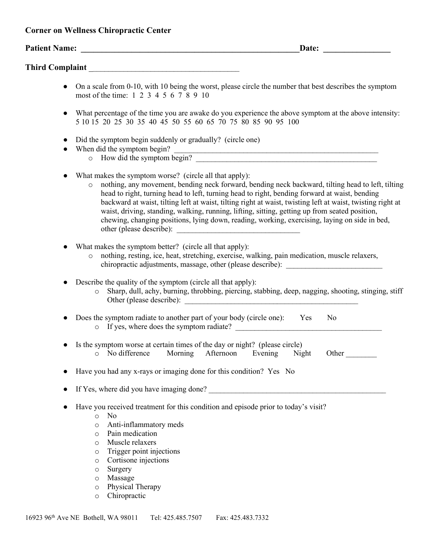|  |  |  | <b>Corner on Wellness Chiropractic Center</b> |
|--|--|--|-----------------------------------------------|
|--|--|--|-----------------------------------------------|

|           | Date:                                                                                                                                                                                                                                                                                                                                                                                                                                                                                                                                                                                     |
|-----------|-------------------------------------------------------------------------------------------------------------------------------------------------------------------------------------------------------------------------------------------------------------------------------------------------------------------------------------------------------------------------------------------------------------------------------------------------------------------------------------------------------------------------------------------------------------------------------------------|
|           |                                                                                                                                                                                                                                                                                                                                                                                                                                                                                                                                                                                           |
| $\bullet$ | On a scale from 0-10, with 10 being the worst, please circle the number that best describes the symptom<br>most of the time: 1 2 3 4 5 6 7 8 9 10                                                                                                                                                                                                                                                                                                                                                                                                                                         |
| $\bullet$ | What percentage of the time you are awake do you experience the above symptom at the above intensity:<br>5 10 15 20 25 30 35 40 45 50 55 60 65 70 75 80 85 90 95 100                                                                                                                                                                                                                                                                                                                                                                                                                      |
|           | Did the symptom begin suddenly or gradually? (circle one)<br>When did the symptom begin?<br>en did the symptom begin?<br>O How did the symptom begin?                                                                                                                                                                                                                                                                                                                                                                                                                                     |
|           | What makes the symptom worse? (circle all that apply):<br>nothing, any movement, bending neck forward, bending neck backward, tilting head to left, tilting<br>$\circ$<br>head to right, turning head to left, turning head to right, bending forward at waist, bending<br>backward at waist, tilting left at waist, tilting right at waist, twisting left at waist, twisting right at<br>waist, driving, standing, walking, running, lifting, sitting, getting up from seated position,<br>chewing, changing positions, lying down, reading, working, exercising, laying on side in bed, |
|           | What makes the symptom better? (circle all that apply):<br>nothing, resting, ice, heat, stretching, exercise, walking, pain medication, muscle relaxers,<br>$\circ$<br>chiropractic adjustments, massage, other (please describe): _____________________                                                                                                                                                                                                                                                                                                                                  |
|           | Describe the quality of the symptom (circle all that apply):<br>o Sharp, dull, achy, burning, throbbing, piercing, stabbing, deep, nagging, shooting, stinging, stiff                                                                                                                                                                                                                                                                                                                                                                                                                     |
|           | Does the symptom radiate to another part of your body (circle one): Yes<br>N <sub>0</sub>                                                                                                                                                                                                                                                                                                                                                                                                                                                                                                 |
|           | Is the symptom worse at certain times of the day or night? (please circle)<br>o No difference Morning Afternoon Evening Night<br>Other                                                                                                                                                                                                                                                                                                                                                                                                                                                    |
|           | Have you had any x-rays or imaging done for this condition? Yes No                                                                                                                                                                                                                                                                                                                                                                                                                                                                                                                        |
|           |                                                                                                                                                                                                                                                                                                                                                                                                                                                                                                                                                                                           |
|           | Have you received treatment for this condition and episode prior to today's visit?<br>No<br>$\circ$<br>Anti-inflammatory meds<br>$\circ$<br>Pain medication<br>$\circ$<br>Muscle relaxers<br>$\circ$<br>Trigger point injections<br>$\circ$<br>Cortisone injections<br>$\circ$<br>Surgery<br>$\circ$<br>Massage<br>$\circ$<br>Physical Therapy<br>$\circ$<br>Chiropractic<br>$\circ$                                                                                                                                                                                                      |